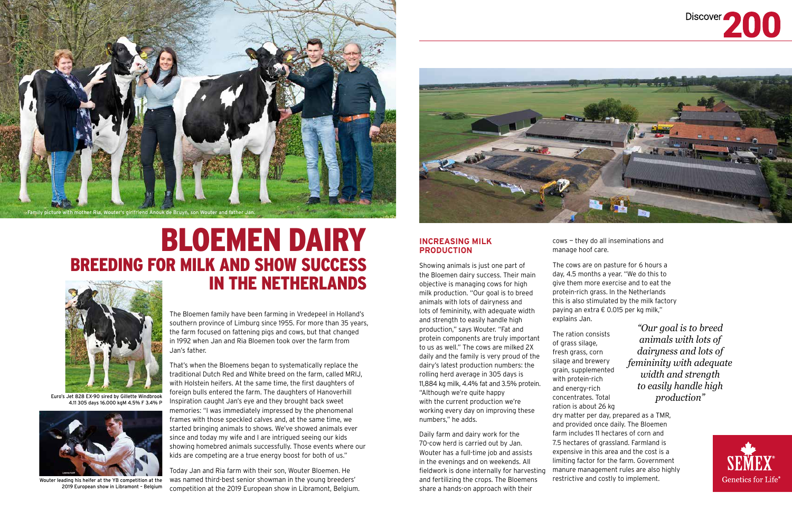## BLOEMEN DAIRY BREEDING FOR MILK AND SHOW SUCCESS IN THE NETHERLANDS

The Bloemen family have been farming in Vredepeel in Holland's southern province of Limburg since 1955. For more than 35 years, the farm focused on fattening pigs and cows, but that changed in 1992 when Jan and Ria Bloemen took over the farm from Jan's father.

That's when the Bloemens began to systematically replace the traditional Dutch Red and White breed on the farm, called MRIJ, with Holstein heifers. At the same time, the first daughters of foreign bulls entered the farm. The daughters of Hanoverhill Inspiration caught Jan's eye and they brought back sweet memories: "I was immediately impressed by the phenomenal frames with those speckled calves and, at the same time, we started bringing animals to shows. We've showed animals ever since and today my wife and I are intrigued seeing our kids showing homebred animals successfully. Those events where our kids are competing are a true energy boost for both of us."

Today Jan and Ria farm with their son, Wouter Bloemen. He was named third-best senior showman in the young breeders' competition at the 2019 European show in Libramont, Belgium.



## **INCREASING MILK PRODUCTION**

Showing animals is just one part of the Bloemen dairy success. Their main objective is managing cows for high milk production. "Our goal is to breed animals with lots of dairyness and lots of femininity, with adequate width and strength to easily handle high production," says Wouter. "Fat and protein components are truly important to us as well." The cows are milked 2X daily and the family is very proud of the dairy's latest production numbers: the rolling herd average in 305 days is 11,884 kg milk, 4.4% fat and 3.5% protein. "Although we're quite happy with the current production we're working every day on improving these numbers," he adds.

Daily farm and dairy work for the 70-cow herd is carried out by Jan. Wouter has a full-time job and assists in the evenings and on weekends. All fieldwork is done internally for harvesting and fertilizing the crops. The Bloemens share a hands-on approach with their

cows — they do all inseminations and manage hoof care.

The cows are on pasture for 6 hours a day, 4.5 months a year. "We do this to give them more exercise and to eat the protein-rich grass. In the Netherlands this is also stimulated by the milk factory paying an extra € 0.015 per kg milk," explains Jan.

of grass silage, fresh grass, corn with protein-rich and energy-rich



The ration consists silage and brewery grain, supplemented concentrates. Total ration is about 26 kg

dry matter per day, prepared as a TMR, and provided once daily. The Bloemen farm includes 11 hectares of corn and 7.5 hectares of grassland. Farmland is expensive in this area and the cost is a limiting factor for the farm. Government manure management rules are also highly restrictive and costly to implement.



*"Our goal is to breed animals with lots of dairyness and lots of femininity with adequate width and strength to easily handle high production"* 





Euro's Jet 828 EX-90 sired by Gillette Windbrook 4.11 305 days 16.000 kgM 4.5% F 3.4% P



Wouter leading his heifer at the YB competition at the 2019 European show in Libramont – Belgium